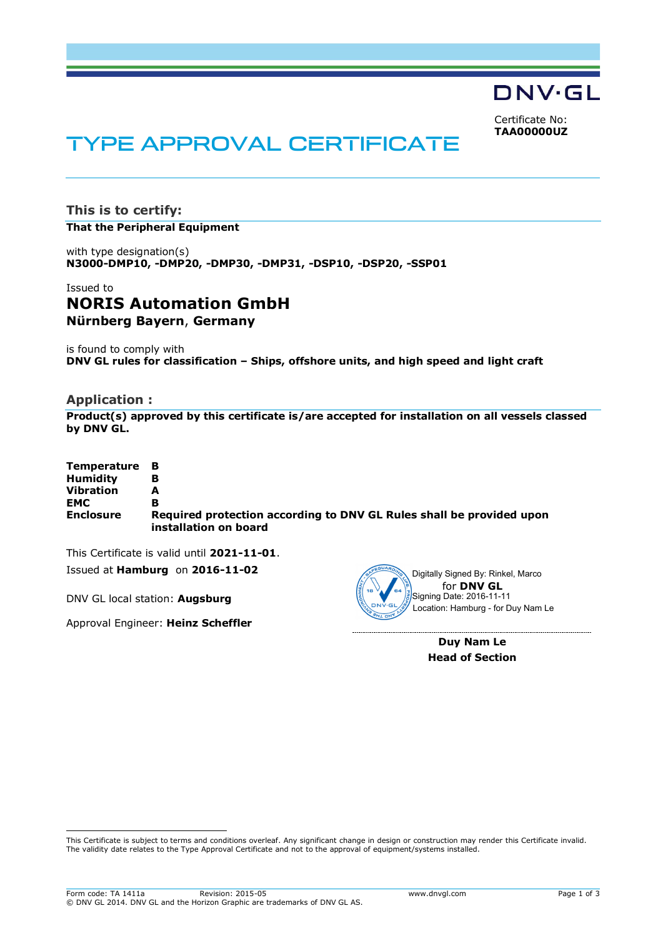DNV·GL

Certificate No: **TAA00000UZ**

# TYPE APPROVAL CERTIFICATE

**This is to certify: That the Peripheral Equipment**

with type designation(s) **N3000-DMP10, -DMP20, -DMP30, -DMP31, -DSP10, -DSP20, -SSP01**

# Issued to **NORIS Automation GmbH Nürnberg Bayern**, **Germany**

is found to comply with **DNV GL rules for classification – Ships, offshore units, and high speed and light craft**

## **Application :**

**Product(s) approved by this certificate is/are accepted for installation on all vessels classed by DNV GL.**

| Temperature B    |                                                                                               |
|------------------|-----------------------------------------------------------------------------------------------|
| <b>Humidity</b>  | в                                                                                             |
| <b>Vibration</b> | А                                                                                             |
| <b>EMC</b>       | в                                                                                             |
| <b>Enclosure</b> | Required protection according to DNV GL Rules shall be provided upon<br>installation on board |

This Certificate is valid until **2021-11-01**. Issued at **Hamburg** on **2016-11-02**

DNV GL local station: **Augsburg**

ı

Approval Engineer: **Heinz Scheffler**



**Duy Nam Le Head of Section**

This Certificate is subject to terms and conditions overleaf. Any significant change in design or construction may render this Certificate invalid. The validity date relates to the Type Approval Certificate and not to the approval of equipment/systems installed.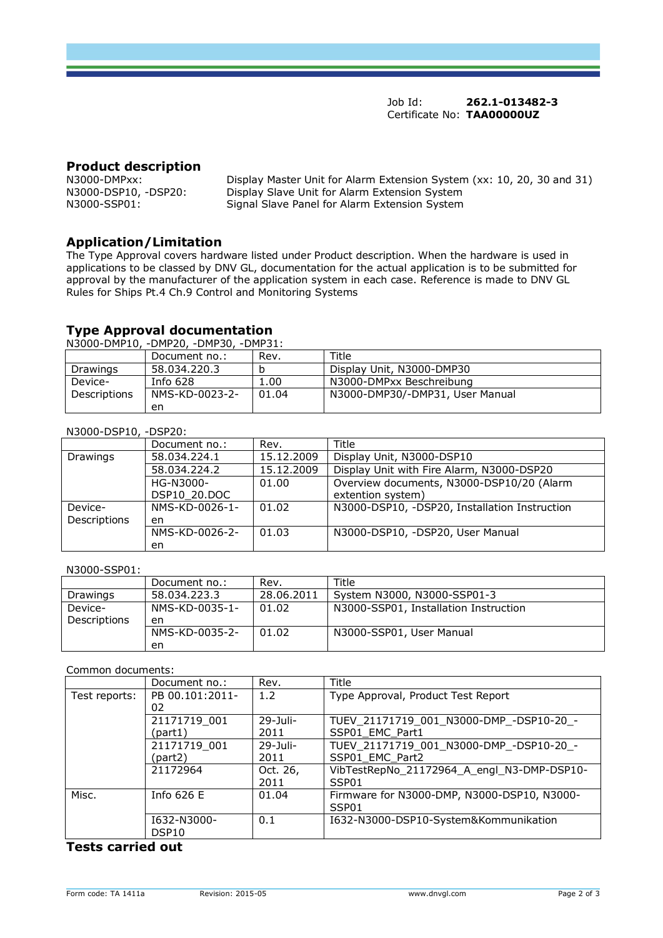Job Id: **262.1-013482-3** Certificate No: **TAA00000UZ**

# **Product description**

N3000-DMPxx: Display Master Unit for Alarm Extension System (xx: 10, 20, 30 and 31)<br>N3000-DSP10, -DSP20: Display Slave Unit for Alarm Extension System N3000-DSP10, -DSP20: Display Slave Unit for Alarm Extension System Signal Slave Panel for Alarm Extension System

# **Application/Limitation**

The Type Approval covers hardware listed under Product description. When the hardware is used in applications to be classed by DNV GL, documentation for the actual application is to be submitted for approval by the manufacturer of the application system in each case. Reference is made to DNV GL Rules for Ships Pt.4 Ch.9 Control and Monitoring Systems

## **Type Approval documentation**

N3000-DMP10, -DMP20, -DMP30, -DMP31:

| .<br>______________<br>_ _ |                |       |                                 |
|----------------------------|----------------|-------|---------------------------------|
|                            | Document no.:  | Rev.  | Title                           |
| Drawings                   | 58.034.220.3   |       | Display Unit, N3000-DMP30       |
| Device-                    | Info $628$     | 1.00  | N3000-DMPxx Beschreibung        |
| Descriptions               | NMS-KD-0023-2- | 01.04 | N3000-DMP30/-DMP31, User Manual |
|                            | en             |       |                                 |

#### N3000-DSP10, -DSP20:

| 113000000110, 001201 |                |            |                                               |
|----------------------|----------------|------------|-----------------------------------------------|
|                      | Document no.:  | Rev.       | Title                                         |
| Drawings             | 58.034.224.1   | 15.12.2009 | Display Unit, N3000-DSP10                     |
|                      | 58.034.224.2   | 15.12.2009 | Display Unit with Fire Alarm, N3000-DSP20     |
|                      | HG-N3000-      | 01.00      | Overview documents, N3000-DSP10/20 (Alarm     |
|                      | DSP10 20.DOC   |            | extention system)                             |
| Device-              | NMS-KD-0026-1- | 01.02      | N3000-DSP10, -DSP20, Installation Instruction |
| Descriptions         | en             |            |                                               |
|                      | NMS-KD-0026-2- | 01.03      | N3000-DSP10, -DSP20, User Manual              |
|                      | en             |            |                                               |

#### N3000-SSP01:

|              | Document no.:  | Rev.       | Title                                 |
|--------------|----------------|------------|---------------------------------------|
| Drawings     | 58.034.223.3   | 28.06.2011 | System N3000, N3000-SSP01-3           |
| Device-      | NMS-KD-0035-1- | 01.02      | N3000-SSP01, Installation Instruction |
| Descriptions | en             |            |                                       |
|              | NMS-KD-0035-2- | 01.02      | N3000-SSP01, User Manual              |
|              | en             |            |                                       |

#### Common documents:

|               | Document no.:     | Rev.        | Title                                       |
|---------------|-------------------|-------------|---------------------------------------------|
| Test reports: | PB 00.101:2011-   | 1.2         | Type Approval, Product Test Report          |
|               | 02                |             |                                             |
|               | 21171719 001      | $29-1$ uli- | TUEV 21171719 001 N3000-DMP -DSP10-20 -     |
|               | (part1)           | 2011        | SSP01 EMC Part1                             |
|               | 21171719 001      | $29-1$ uli- | TUEV 21171719 001 N3000-DMP -DSP10-20 -     |
|               | (part2)           | 2011        | SSP01 EMC Part2                             |
|               | 21172964          | Oct. 26,    | VibTestRepNo 21172964 A engl N3-DMP-DSP10-  |
|               |                   | 2011        | SSP01                                       |
| Misc.         | Info $626E$       | 01.04       | Firmware for N3000-DMP, N3000-DSP10, N3000- |
|               |                   |             | SSP01                                       |
|               | I632-N3000-       | 0.1         | I632-N3000-DSP10-System&Kommunikation       |
|               | DSP <sub>10</sub> |             |                                             |

## **Tests carried out**